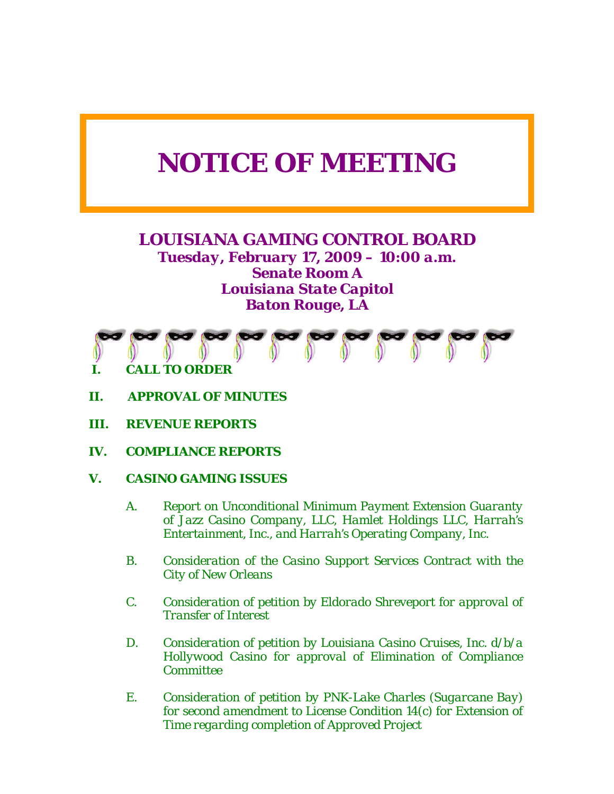# *NOTICE OF MEETING*

# *LOUISIANA GAMING CONTROL BOARD Tuesday, February 17, 2009 – 10:00 a.m. Senate Room A Louisiana State Capitol Baton Rouge, LA*



- *II. APPROVAL OF MINUTES*
- *III. REVENUE REPORTS*
- *IV. COMPLIANCE REPORTS*
- *V. CASINO GAMING ISSUES* 
	- *A. Report on Unconditional Minimum Payment Extension Guaranty of Jazz Casino Company, LLC, Hamlet Holdings LLC, Harrah's Entertainment, Inc., and Harrah's Operating Company, Inc.*
	- *B. Consideration of the Casino Support Services Contract with the City of New Orleans*
	- *C. Consideration of petition by Eldorado Shreveport for approval of Transfer of Interest*
	- *D. Consideration of petition by Louisiana Casino Cruises, Inc. d/b/a Hollywood Casino for approval of Elimination of Compliance Committee*
	- *E. Consideration of petition by PNK-Lake Charles (Sugarcane Bay) for second amendment to License Condition 14(c) for Extension of Time regarding completion of Approved Project*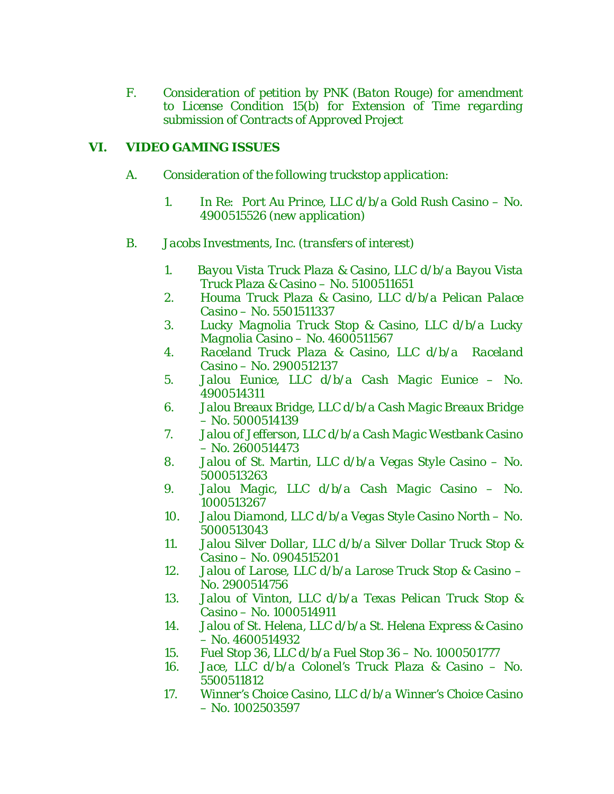*F. Consideration of petition by PNK (Baton Rouge) for amendment to License Condition 15(b) for Extension of Time regarding submission of Contracts of Approved Project* 

## *VI. VIDEO GAMING ISSUES*

- *A. Consideration of the following truckstop application:* 
	- *1. In Re: Port Au Prince, LLC d/b/a Gold Rush Casino No. 4900515526 (new application)*
- *B. Jacobs Investments, Inc. (transfers of interest)* 
	- *1. Bayou Vista Truck Plaza & Casino, LLC d/b/a Bayou Vista Truck Plaza & Casino – No. 5100511651*
	- *2. Houma Truck Plaza & Casino, LLC d/b/a Pelican Palace Casino – No. 5501511337*
	- *3. Lucky Magnolia Truck Stop & Casino, LLC d/b/a Lucky Magnolia Casino – No. 4600511567*
	- *4. Raceland Truck Plaza & Casino, LLC d/b/a Raceland Casino – No. 2900512137*
	- *5. Jalou Eunice, LLC d/b/a Cash Magic Eunice No. 4900514311*
	- *6. Jalou Breaux Bridge, LLC d/b/a Cash Magic Breaux Bridge – No. 5000514139*
	- *7. Jalou of Jefferson, LLC d/b/a Cash Magic Westbank Casino – No. 2600514473*
	- *8. Jalou of St. Martin, LLC d/b/a Vegas Style Casino No. 5000513263*
	- *9. Jalou Magic, LLC d/b/a Cash Magic Casino No. 1000513267*
	- *10. Jalou Diamond, LLC d/b/a Vegas Style Casino North No. 5000513043*
	- *11. Jalou Silver Dollar, LLC d/b/a Silver Dollar Truck Stop & Casino – No. 0904515201*
	- *12. Jalou of Larose, LLC d/b/a Larose Truck Stop & Casino No. 2900514756*
	- *13. Jalou of Vinton, LLC d/b/a Texas Pelican Truck Stop & Casino – No. 1000514911*
	- *14. Jalou of St. Helena, LLC d/b/a St. Helena Express & Casino – No. 4600514932*
	- *15. Fuel Stop 36, LLC d/b/a Fuel Stop 36 No. 1000501777*
	- *16. Jace, LLC d/b/a Colonel's Truck Plaza & Casino No. 5500511812*
	- *17. Winner's Choice Casino, LLC d/b/a Winner's Choice Casino – No. 1002503597*